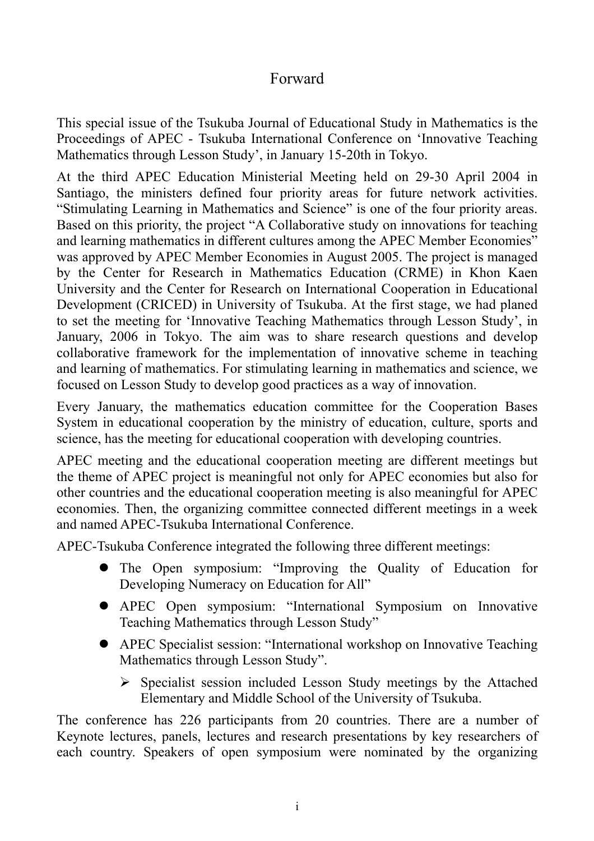## Forward

This special issue of the Tsukuba Journal of Educational Study in Mathematics is the Proceedings of APEC - Tsukuba International Conference on 'Innovative Teaching Mathematics through Lesson Study', in January 15-20th in Tokyo.

At the third APEC Education Ministerial Meeting held on 29-30 April 2004 in Santiago, the ministers defined four priority areas for future network activities. "Stimulating Learning in Mathematics and Science" is one of the four priority areas. Based on this priority, the project "A Collaborative study on innovations for teaching and learning mathematics in different cultures among the APEC Member Economies" was approved by APEC Member Economies in August 2005. The project is managed by the Center for Research in Mathematics Education (CRME) in Khon Kaen University and the Center for Research on International Cooperation in Educational Development (CRICED) in University of Tsukuba. At the first stage, we had planed to set the meeting for 'Innovative Teaching Mathematics through Lesson Study', in January, 2006 in Tokyo. The aim was to share research questions and develop collaborative framework for the implementation of innovative scheme in teaching and learning of mathematics. For stimulating learning in mathematics and science, we focused on Lesson Study to develop good practices as a way of innovation.

Every January, the mathematics education committee for the Cooperation Bases System in educational cooperation by the ministry of education, culture, sports and science, has the meeting for educational cooperation with developing countries.

APEC meeting and the educational cooperation meeting are different meetings but the theme of APEC project is meaningful not only for APEC economies but also for other countries and the educational cooperation meeting is also meaningful for APEC economies. Then, the organizing committee connected different meetings in a week and named APEC-Tsukuba International Conference.

APEC-Tsukuba Conference integrated the following three different meetings:

- The Open symposium: "Improving the Quality of Education for Developing Numeracy on Education for All"
- APEC Open symposium: "International Symposium on Innovative Teaching Mathematics through Lesson Study"
- APEC Specialist session: "International workshop on Innovative Teaching Mathematics through Lesson Study".
	- $\triangleright$  Specialist session included Lesson Study meetings by the Attached Elementary and Middle School of the University of Tsukuba.

The conference has 226 participants from 20 countries. There are a number of Keynote lectures, panels, lectures and research presentations by key researchers of each country. Speakers of open symposium were nominated by the organizing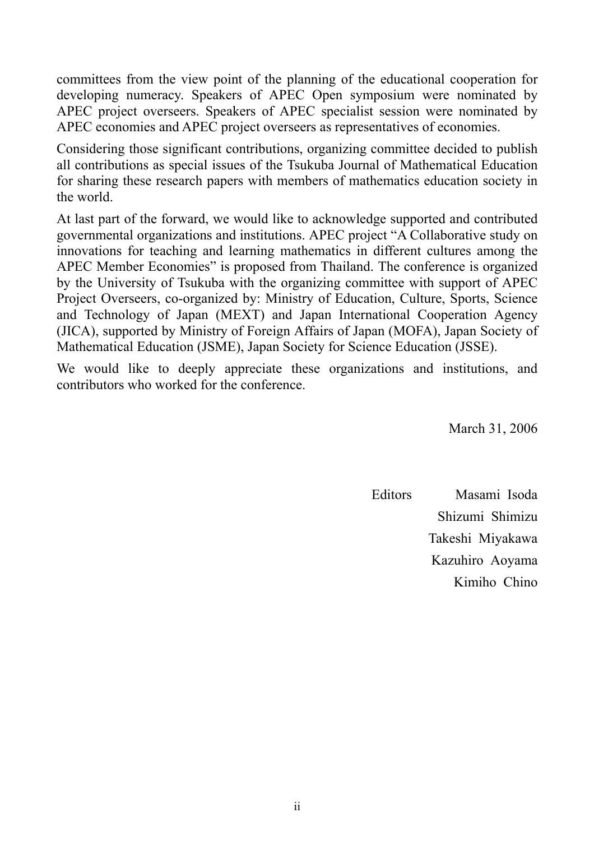committees from the view point of the planning of the educational cooperation for developing numeracy. Speakers of APEC Open symposium were nominated by APEC project overseers. Speakers of APEC specialist session were nominated by APEC economies and APEC project overseers as representatives of economies.

Considering those significant contributions, organizing committee decided to publish all contributions as special issues of the Tsukuba Journal of Mathematical Education for sharing these research papers with members of mathematics education society in the world.

At last part of the forward, we would like to acknowledge supported and contributed governmental organizations and institutions. APEC project "A Collaborative study on innovations for teaching and learning mathematics in different cultures among the APEC Member Economies" is proposed from Thailand. The conference is organized by the University of Tsukuba with the organizing committee with support of APEC Project Overseers, co-organized by: Ministry of Education, Culture, Sports, Science and Technology of Japan (MEXT) and Japan International Cooperation Agency (JICA), supported by Ministry of Foreign Affairs of Japan (MOFA), Japan Society of Mathematical Education (JSME), Japan Society for Science Education (JSSE).

We would like to deeply appreciate these organizations and institutions, and contributors who worked for the conference.

March 31, 2006

Editors Masami Isoda Shizumi Shimizu Takeshi Miyakawa Kazuhiro Aoyama Kimiho Chino